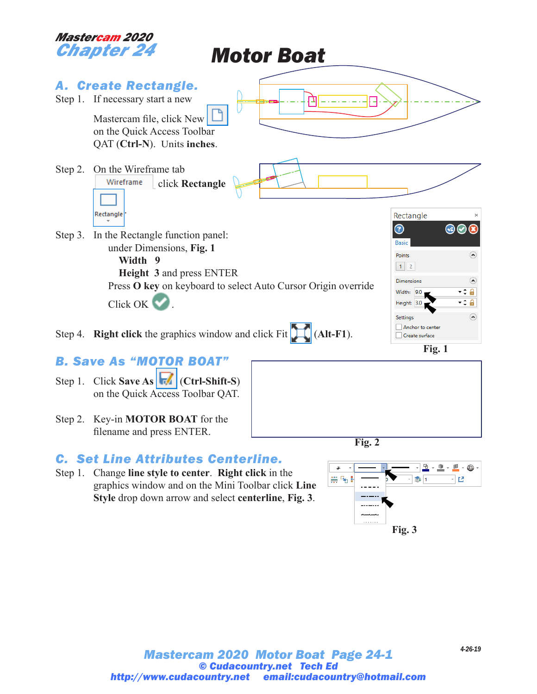

Step 2. Key-in **MOTOR BOAT** for the filename and press ENTER.

## *C. Set Line Attributes Centerline.*

Step 1. Change **line style to center**. **Right click** in the graphics window and on the Mini Toolbar click **Line Style** drop down arrow and select **centerline**, **Fig. 3**.



**Fig. 2**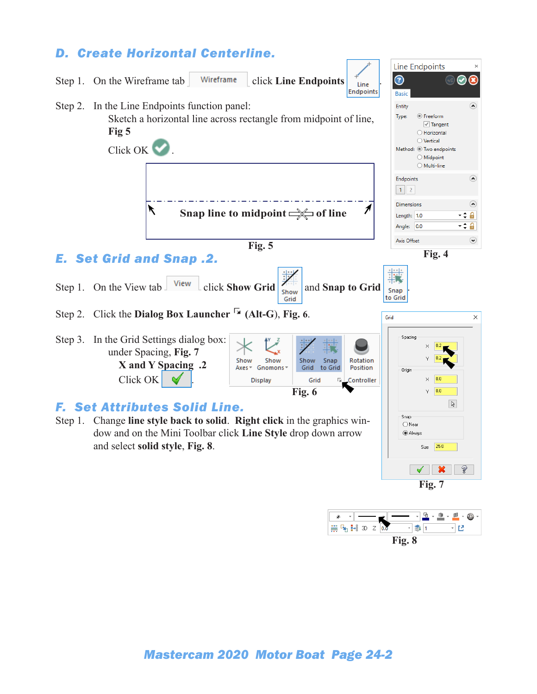

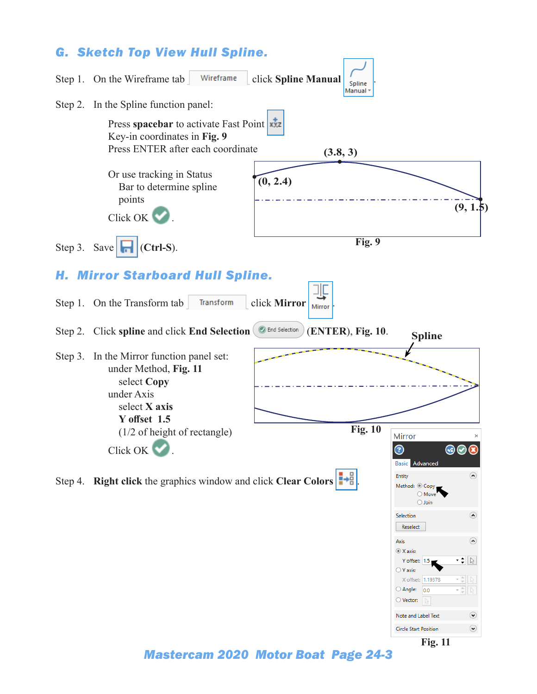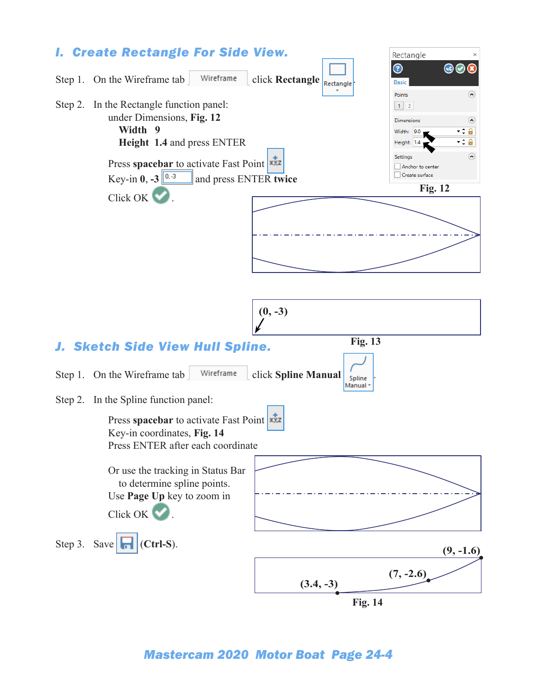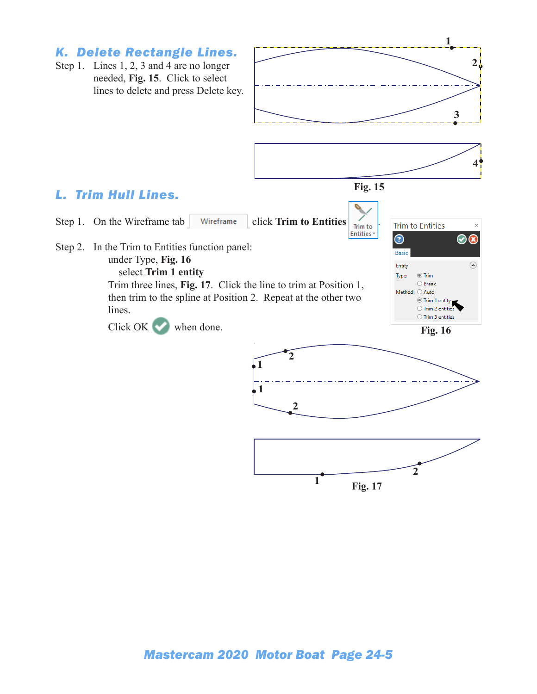## *K. Delete Rectangle Lines.*

Step 1. Lines 1, 2, 3 and 4 are no longer needed, **Fig. 15**. Click to select lines to delete and press Delete key.





### *L. Trim Hull Lines.*





**Fig. 17**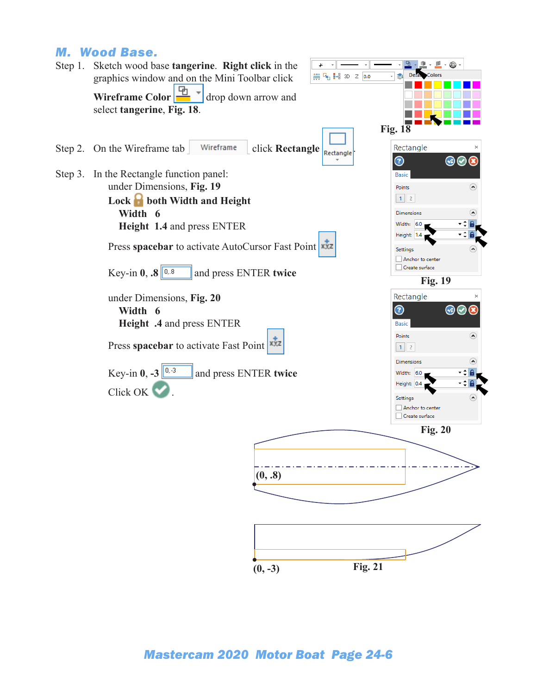#### *M. Wood Base.*

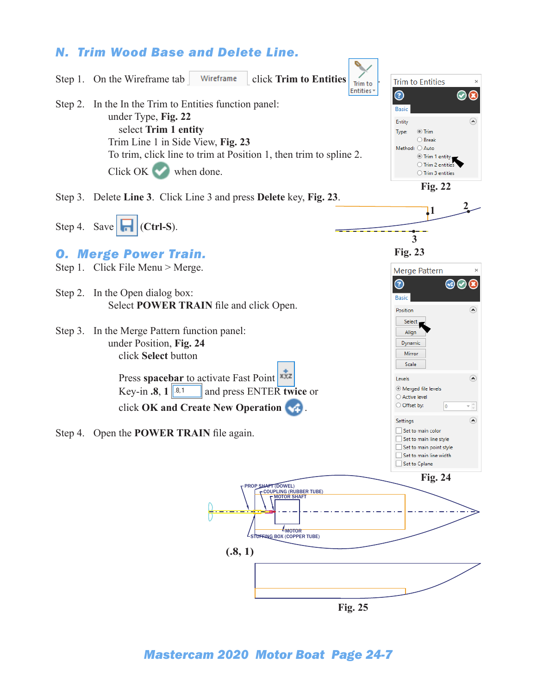## *N. Trim Wood Base and Delete Line.*

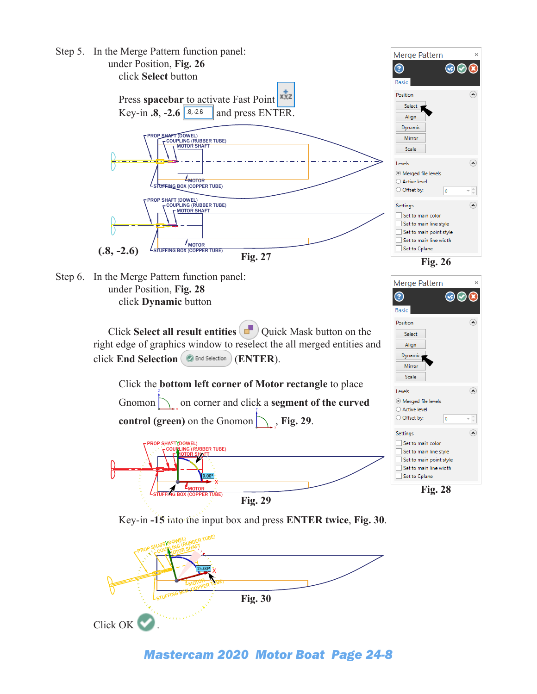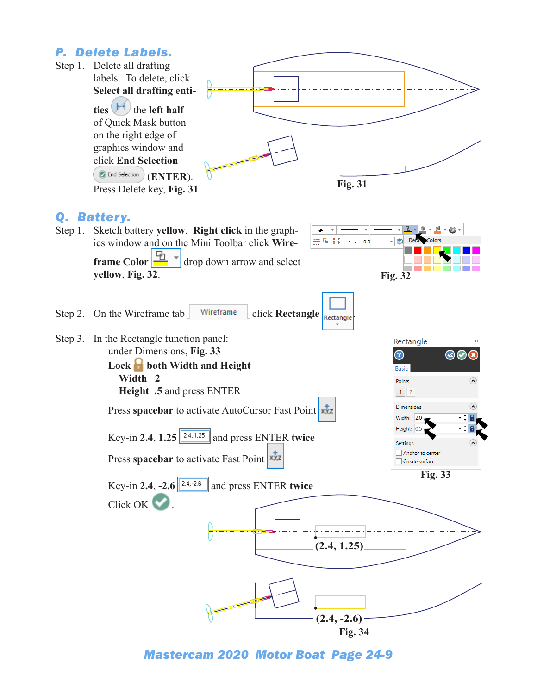## *P. Delete Labels.*

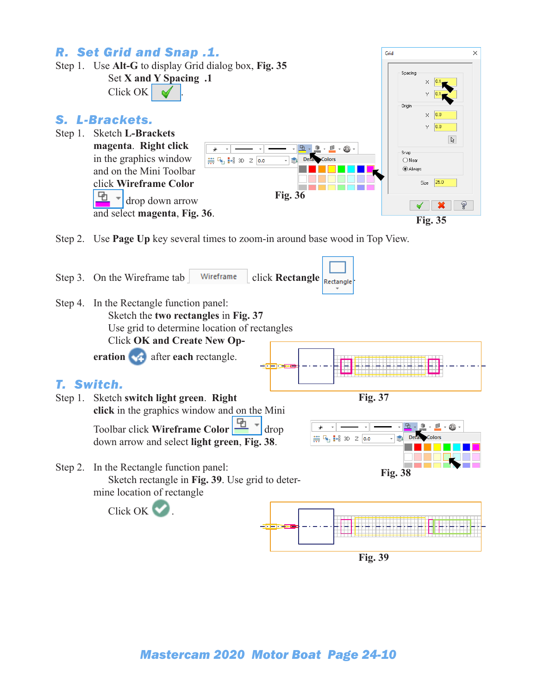

**Fig. 39**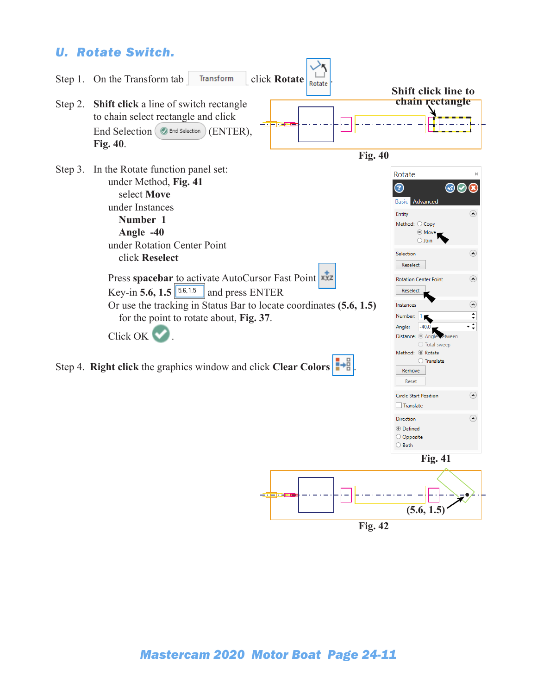## *U. Rotate Switch.*